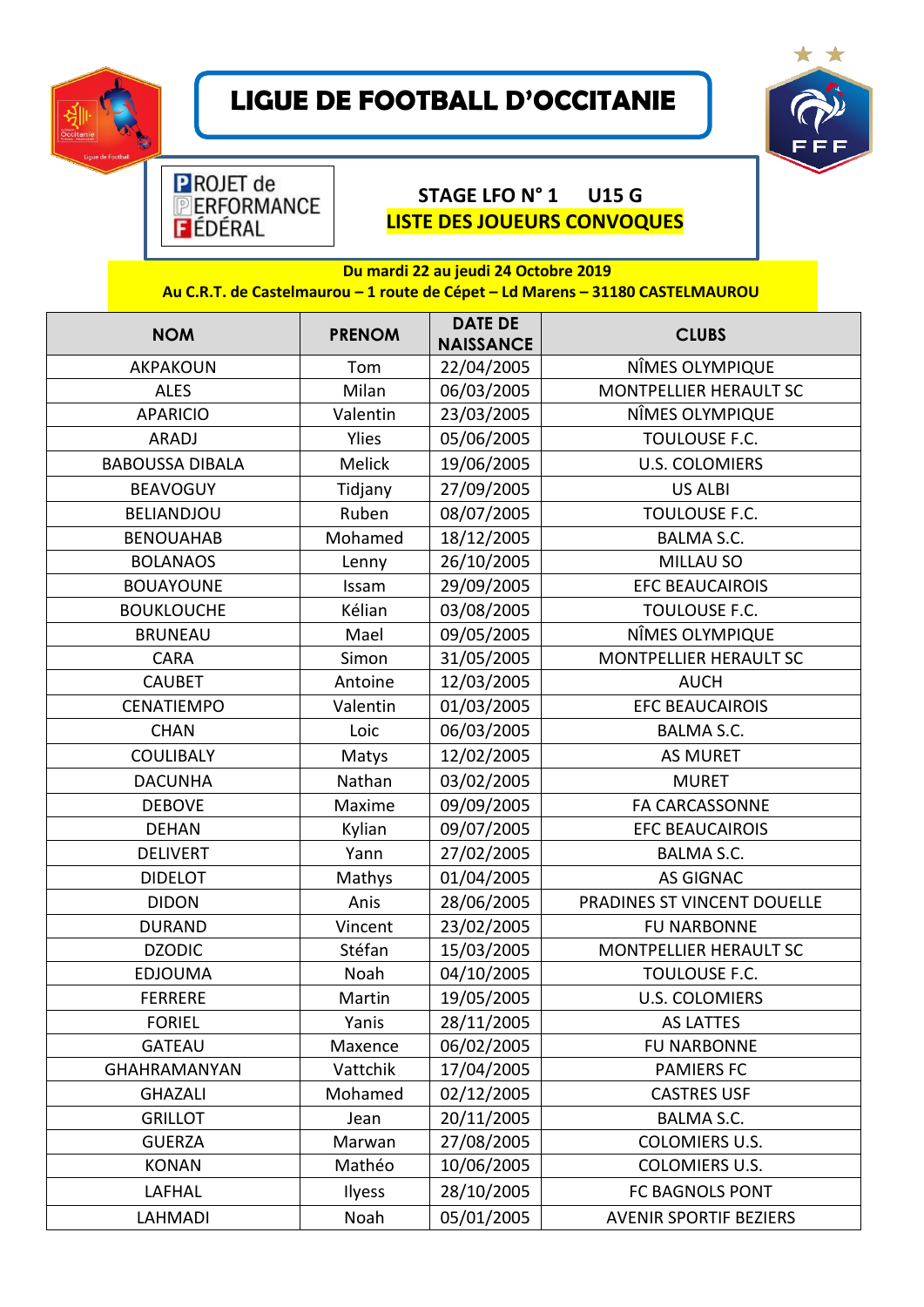

## **LIGUE DE FOOTBALL D'OCCITANIE**



## **STAGE LFO N° 1 U15 G LISTE DES JOUEURS CONVOQUES**

| Du mardi 22 au jeudi 24 Octobre 2019<br>Au C.R.T. de Castelmaurou - 1 route de Cépet - Ld Marens - 31180 CASTELMAUROU |               |                                    |                               |  |  |
|-----------------------------------------------------------------------------------------------------------------------|---------------|------------------------------------|-------------------------------|--|--|
| <b>NOM</b>                                                                                                            | <b>PRENOM</b> | <b>DATE DE</b><br><b>NAISSANCE</b> | <b>CLUBS</b>                  |  |  |
| AKPAKOUN                                                                                                              | Tom           | 22/04/2005                         | NÎMES OLYMPIQUE               |  |  |
| <b>ALES</b>                                                                                                           | Milan         | 06/03/2005                         | MONTPELLIER HERAULT SC        |  |  |
| <b>APARICIO</b>                                                                                                       | Valentin      | 23/03/2005                         | NÎMES OLYMPIQUE               |  |  |
| ARADJ                                                                                                                 | <b>Ylies</b>  | 05/06/2005                         | TOULOUSE F.C.                 |  |  |
| <b>BABOUSSA DIBALA</b>                                                                                                | Melick        | 19/06/2005                         | <b>U.S. COLOMIERS</b>         |  |  |
| <b>BEAVOGUY</b>                                                                                                       | Tidjany       | 27/09/2005                         | <b>US ALBI</b>                |  |  |
| <b>BELIANDJOU</b>                                                                                                     | Ruben         | 08/07/2005                         | TOULOUSE F.C.                 |  |  |
| <b>BENOUAHAB</b>                                                                                                      | Mohamed       | 18/12/2005                         | <b>BALMA S.C.</b>             |  |  |
| <b>BOLANAOS</b>                                                                                                       | Lenny         | 26/10/2005                         | MILLAU SO                     |  |  |
| <b>BOUAYOUNE</b>                                                                                                      | Issam         | 29/09/2005                         | <b>EFC BEAUCAIROIS</b>        |  |  |
| <b>BOUKLOUCHE</b>                                                                                                     | Kélian        | 03/08/2005                         | TOULOUSE F.C.                 |  |  |
| <b>BRUNEAU</b>                                                                                                        | Mael          | 09/05/2005                         | NÎMES OLYMPIQUE               |  |  |
| <b>CARA</b>                                                                                                           | Simon         | 31/05/2005                         | <b>MONTPELLIER HERAULT SC</b> |  |  |
| <b>CAUBET</b>                                                                                                         | Antoine       | 12/03/2005                         | <b>AUCH</b>                   |  |  |
| CENATIEMPO                                                                                                            | Valentin      | 01/03/2005                         | <b>EFC BEAUCAIROIS</b>        |  |  |
| <b>CHAN</b>                                                                                                           | Loic          | 06/03/2005                         | <b>BALMA S.C.</b>             |  |  |
| <b>COULIBALY</b>                                                                                                      | Matys         | 12/02/2005                         | <b>AS MURET</b>               |  |  |
| <b>DACUNHA</b>                                                                                                        | Nathan        | 03/02/2005                         | <b>MURET</b>                  |  |  |
| <b>DEBOVE</b>                                                                                                         | Maxime        | 09/09/2005                         | <b>FA CARCASSONNE</b>         |  |  |
| <b>DEHAN</b>                                                                                                          | Kylian        | 09/07/2005                         | <b>EFC BEAUCAIROIS</b>        |  |  |
| <b>DELIVERT</b>                                                                                                       | Yann          | 27/02/2005                         | <b>BALMA S.C.</b>             |  |  |
| <b>DIDELOT</b>                                                                                                        | Mathys        | 01/04/2005                         | <b>AS GIGNAC</b>              |  |  |
| <b>DIDON</b>                                                                                                          | Anis          | 28/06/2005                         | PRADINES ST VINCENT DOUELLE   |  |  |
| <b>DURAND</b>                                                                                                         | Vincent       | 23/02/2005                         | <b>FU NARBONNE</b>            |  |  |
| <b>DZODIC</b>                                                                                                         | Stéfan        | 15/03/2005                         | <b>MONTPELLIER HERAULT SC</b> |  |  |
| <b>EDJOUMA</b>                                                                                                        | Noah          | 04/10/2005                         | TOULOUSE F.C.                 |  |  |
| <b>FERRERE</b>                                                                                                        | Martin        | 19/05/2005                         | <b>U.S. COLOMIERS</b>         |  |  |
| <b>FORIEL</b>                                                                                                         | Yanis         | 28/11/2005                         | <b>AS LATTES</b>              |  |  |
| <b>GATEAU</b>                                                                                                         | Maxence       | 06/02/2005                         | <b>FU NARBONNE</b>            |  |  |
| <b>GHAHRAMANYAN</b>                                                                                                   | Vattchik      | 17/04/2005                         | <b>PAMIERS FC</b>             |  |  |
| <b>GHAZALI</b>                                                                                                        | Mohamed       | 02/12/2005                         | <b>CASTRES USF</b>            |  |  |
| <b>GRILLOT</b>                                                                                                        | Jean          | 20/11/2005                         | BALMA S.C.                    |  |  |
| <b>GUERZA</b>                                                                                                         | Marwan        | 27/08/2005                         | <b>COLOMIERS U.S.</b>         |  |  |
| <b>KONAN</b>                                                                                                          | Mathéo        | 10/06/2005                         | COLOMIERS U.S.                |  |  |
| LAFHAL                                                                                                                | <b>Ilyess</b> | 28/10/2005                         | FC BAGNOLS PONT               |  |  |
| LAHMADI                                                                                                               | Noah          | 05/01/2005                         | <b>AVENIR SPORTIF BEZIERS</b> |  |  |